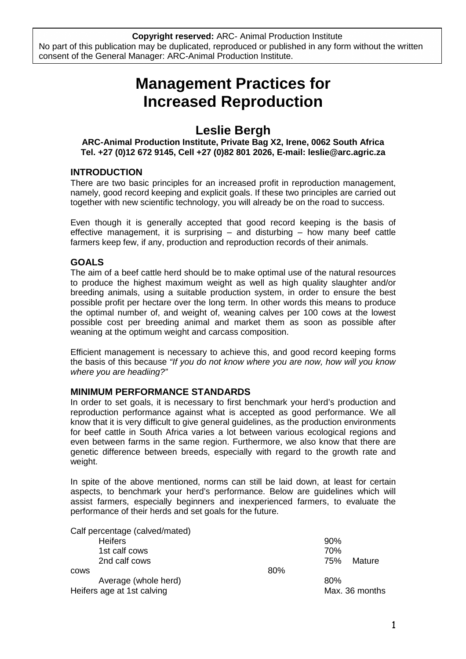**Copyright reserved:** ARC- Animal Production Institute No part of this publication may be duplicated, reproduced or published in any form without the written consent of the General Manager: ARC-Animal Production Institute.

# **Management Practices for Increased Reproduction**

# **Leslie Bergh**

# **ARC-Animal Production Institute, Private Bag X2, Irene, 0062 South Africa Tel. +27 (0)12 672 9145, Cell +27 (0)82 801 2026, E-mail: leslie@arc.agric.za**

# **INTRODUCTION**

There are two basic principles for an increased profit in reproduction management, namely, good record keeping and explicit goals. If these two principles are carried out together with new scientific technology, you will already be on the road to success.

Even though it is generally accepted that good record keeping is the basis of effective management, it is surprising  $-$  and disturbing  $-$  how many beef cattle farmers keep few, if any, production and reproduction records of their animals.

# **GOALS**

The aim of a beef cattle herd should be to make optimal use of the natural resources to produce the highest maximum weight as well as high quality slaughter and/or breeding animals, using a suitable production system, in order to ensure the best possible profit per hectare over the long term. In other words this means to produce the optimal number of, and weight of, weaning calves per 100 cows at the lowest possible cost per breeding animal and market them as soon as possible after weaning at the optimum weight and carcass composition.

Efficient management is necessary to achieve this, and good record keeping forms the basis of this because "If you do not know where you are now, how will you know where you are headiing?"

# **MINIMUM PERFORMANCE STANDARDS**

In order to set goals, it is necessary to first benchmark your herd's production and reproduction performance against what is accepted as good performance. We all know that it is very difficult to give general guidelines, as the production environments for beef cattle in South Africa varies a lot between various ecological regions and even between farms in the same region. Furthermore, we also know that there are genetic difference between breeds, especially with regard to the growth rate and weight.

In spite of the above mentioned, norms can still be laid down, at least for certain aspects, to benchmark your herd's performance. Below are guidelines which will assist farmers, especially beginners and inexperienced farmers, to evaluate the performance of their herds and set goals for the future.

| Calf percentage (calved/mated) |     |                |
|--------------------------------|-----|----------------|
| <b>Heifers</b>                 |     | 90%            |
| 1st calf cows                  |     | 70%            |
| 2nd calf cows                  |     | 75%<br>Mature  |
| <b>COWS</b>                    | 80% |                |
| Average (whole herd)           |     | 80%            |
| Heifers age at 1st calving     |     | Max. 36 months |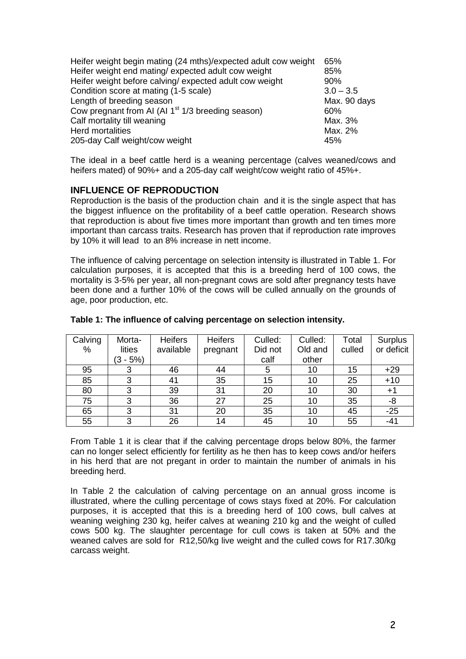| Heifer weight begin mating (24 mths)/expected adult cow weight | 65%          |
|----------------------------------------------------------------|--------------|
| Heifer weight end mating/expected adult cow weight             | 85%          |
| Heifer weight before calving/expected adult cow weight         | 90%          |
| Condition score at mating (1-5 scale)                          | $3.0 - 3.5$  |
| Length of breeding season                                      | Max. 90 days |
| Cow pregnant from AI (AI 1 <sup>st</sup> 1/3 breeding season)  | 60%          |
| Calf mortality till weaning                                    | Max. 3%      |
| <b>Herd mortalities</b>                                        | Max. 2%      |
| 205-day Calf weight/cow weight                                 | 45%          |

The ideal in a beef cattle herd is a weaning percentage (calves weaned/cows and heifers mated) of 90%+ and a 205-day calf weight/cow weight ratio of 45%+.

# **INFLUENCE OF REPRODUCTION**

Reproduction is the basis of the production chain and it is the single aspect that has the biggest influence on the profitability of a beef cattle operation. Research shows that reproduction is about five times more important than growth and ten times more important than carcass traits. Research has proven that if reproduction rate improves by 10% it will lead to an 8% increase in nett income.

The influence of calving percentage on selection intensity is illustrated in Table 1. For calculation purposes, it is accepted that this is a breeding herd of 100 cows, the mortality is 3-5% per year, all non-pregnant cows are sold after pregnancy tests have been done and a further 10% of the cows will be culled annually on the grounds of age, poor production, etc.

| Calving | Morta-     | <b>Heifers</b> | <b>Heifers</b> | Culled: | Culled: | Total  | Surplus    |
|---------|------------|----------------|----------------|---------|---------|--------|------------|
| %       | lities     | available      | pregnant       | Did not | Old and | culled | or deficit |
|         | $(3 - 5%)$ |                |                | calf    | other   |        |            |
| 95      |            | 46             | 44             |         | 10      | 15     | $+29$      |
| 85      | っ          | 41             | 35             | 15      | 10      | 25     | $+10$      |
| 80      | 3          | 39             | 31             | 20      | 10      | 30     | $+1$       |
| 75      | 3          | 36             | 27             | 25      | 10      | 35     | -8         |
| 65      |            | 31             | 20             | 35      | 10      | 45     | $-25$      |
| 55      |            | 26             | 14             | 45      | 10      | 55     | $-41$      |

#### **Table 1: The influence of calving percentage on selection intensity.**

From Table 1 it is clear that if the calving percentage drops below 80%, the farmer can no longer select efficiently for fertility as he then has to keep cows and/or heifers in his herd that are not pregant in order to maintain the number of animals in his breeding herd.

In Table 2 the calculation of calving percentage on an annual gross income is illustrated, where the culling percentage of cows stays fixed at 20%. For calculation purposes, it is accepted that this is a breeding herd of 100 cows, bull calves at weaning weighing 230 kg, heifer calves at weaning 210 kg and the weight of culled cows 500 kg. The slaughter percentage for cull cows is taken at 50% and the weaned calves are sold for R12,50/kg live weight and the culled cows for R17.30/kg carcass weight.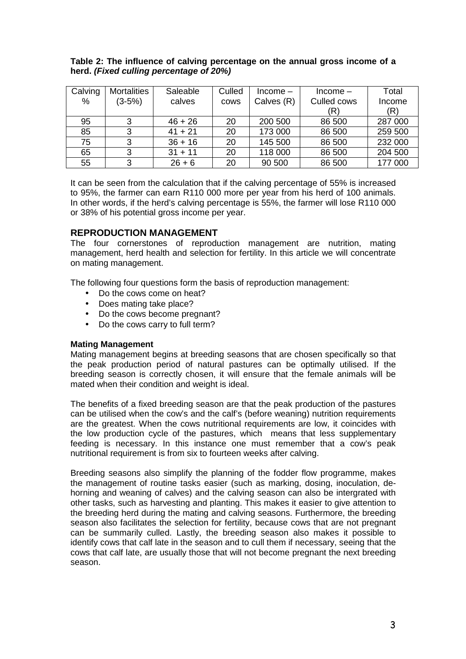# **Table 2: The influence of calving percentage on the annual gross income of a herd. (Fixed culling percentage of 20%)**

| Calving | <b>Mortalities</b> | Saleable  | Culled      | $Income-$  | $Income-$   | Total   |
|---------|--------------------|-----------|-------------|------------|-------------|---------|
| %       | $(3-5%)$           | calves    | <b>COWS</b> | Calves (R) | Culled cows | Income  |
|         |                    |           |             |            | (R)         | (R)     |
| 95      |                    | $46 + 26$ | 20          | 200 500    | 86 500      | 287 000 |
| 85      |                    | $41 + 21$ | 20          | 173 000    | 86 500      | 259 500 |
| 75      | ◠                  | $36 + 16$ | 20          | 145 500    | 86 500      | 232 000 |
| 65      | 3                  | $31 + 11$ | 20          | 118 000    | 86 500      | 204 500 |
| 55      |                    | $26 + 6$  | 20          | 90 500     | 86 500      | 177 000 |

It can be seen from the calculation that if the calving percentage of 55% is increased to 95%, the farmer can earn R110 000 more per year from his herd of 100 animals. In other words, if the herd's calving percentage is 55%, the farmer will lose R110 000 or 38% of his potential gross income per year.

# **REPRODUCTION MANAGEMENT**

The four cornerstones of reproduction management are nutrition, mating management, herd health and selection for fertility. In this article we will concentrate on mating management.

The following four questions form the basis of reproduction management:

- Do the cows come on heat?
- Does mating take place?
- Do the cows become pregnant?
- Do the cows carry to full term?

#### **Mating Management**

Mating management begins at breeding seasons that are chosen specifically so that the peak production period of natural pastures can be optimally utilised. If the breeding season is correctly chosen, it will ensure that the female animals will be mated when their condition and weight is ideal.

The benefits of a fixed breeding season are that the peak production of the pastures can be utilised when the cow's and the calf's (before weaning) nutrition requirements are the greatest. When the cows nutritional requirements are low, it coincides with the low production cycle of the pastures, which means that less supplementary feeding is necessary. In this instance one must remember that a cow's peak nutritional requirement is from six to fourteen weeks after calving.

Breeding seasons also simplify the planning of the fodder flow programme, makes the management of routine tasks easier (such as marking, dosing, inoculation, dehorning and weaning of calves) and the calving season can also be intergrated with other tasks, such as harvesting and planting. This makes it easier to give attention to the breeding herd during the mating and calving seasons. Furthermore, the breeding season also facilitates the selection for fertility, because cows that are not pregnant can be summarily culled. Lastly, the breeding season also makes it possible to identify cows that calf late in the season and to cull them if necessary, seeing that the cows that calf late, are usually those that will not become pregnant the next breeding season.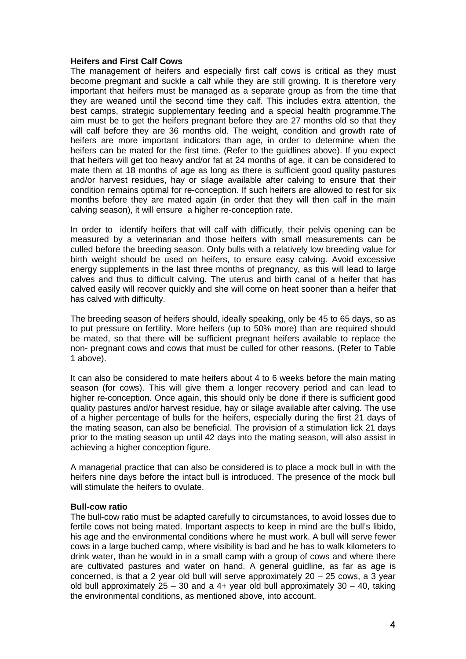#### **Heifers and First Calf Cows**

The management of heifers and especially first calf cows is critical as they must become pregmant and suckle a calf while they are still growing. It is therefore very important that heifers must be managed as a separate group as from the time that they are weaned until the second time they calf. This includes extra attention, the best camps, strategic supplementary feeding and a special health programme.The aim must be to get the heifers pregnant before they are 27 months old so that they will calf before they are 36 months old. The weight, condition and growth rate of heifers are more important indicators than age, in order to determine when the heifers can be mated for the first time. (Refer to the guidlines above). If you expect that heifers will get too heavy and/or fat at 24 months of age, it can be considered to mate them at 18 months of age as long as there is sufficient good quality pastures and/or harvest residues, hay or silage available after calving to ensure that their condition remains optimal for re-conception. If such heifers are allowed to rest for six months before they are mated again (in order that they will then calf in the main calving season), it will ensure a higher re-conception rate.

In order to identify heifers that will calf with difficutly, their pelvis opening can be measured by a veterinarian and those heifers with small measurements can be culled before the breeding season. Only bulls with a relatively low breeding value for birth weight should be used on heifers, to ensure easy calving. Avoid excessive energy supplements in the last three months of pregnancy, as this will lead to large calves and thus to difficult calving. The uterus and birth canal of a heifer that has calved easily will recover quickly and she will come on heat sooner than a heifer that has calved with difficulty.

The breeding season of heifers should, ideally speaking, only be 45 to 65 days, so as to put pressure on fertility. More heifers (up to 50% more) than are required should be mated, so that there will be sufficient pregnant heifers available to replace the non- pregnant cows and cows that must be culled for other reasons. (Refer to Table 1 above).

It can also be considered to mate heifers about 4 to 6 weeks before the main mating season (for cows). This will give them a longer recovery period and can lead to higher re-conception. Once again, this should only be done if there is sufficient good quality pastures and/or harvest residue, hay or silage available after calving. The use of a higher percentage of bulls for the heifers, especially during the first 21 days of the mating season, can also be beneficial. The provision of a stimulation lick 21 days prior to the mating season up until 42 days into the mating season, will also assist in achieving a higher conception figure.

A managerial practice that can also be considered is to place a mock bull in with the heifers nine days before the intact bull is introduced. The presence of the mock bull will stimulate the heifers to ovulate.

#### **Bull-cow ratio**

The bull-cow ratio must be adapted carefully to circumstances, to avoid losses due to fertile cows not being mated. Important aspects to keep in mind are the bull's libido, his age and the environmental conditions where he must work. A bull will serve fewer cows in a large buched camp, where visibility is bad and he has to walk kilometers to drink water, than he would in in a small camp with a group of cows and where there are cultivated pastures and water on hand. A general guidline, as far as age is concerned, is that a 2 year old bull will serve approximately  $20 - 25$  cows, a 3 year old bull approximately  $25 - 30$  and a 4+ year old bull approximately  $30 - 40$ , taking the environmental conditions, as mentioned above, into account.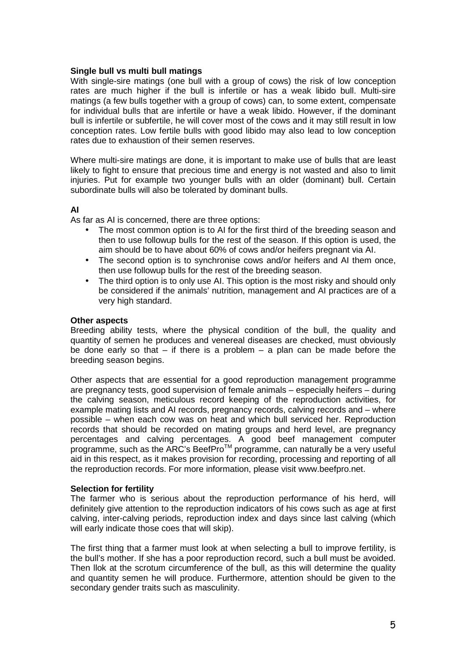### **Single bull vs multi bull matings**

With single-sire matings (one bull with a group of cows) the risk of low conception rates are much higher if the bull is infertile or has a weak libido bull. Multi-sire matings (a few bulls together with a group of cows) can, to some extent, compensate for individual bulls that are infertile or have a weak libido. However, if the dominant bull is infertile or subfertile, he will cover most of the cows and it may still result in low conception rates. Low fertile bulls with good libido may also lead to low conception rates due to exhaustion of their semen reserves.

Where multi-sire matings are done, it is important to make use of bulls that are least likely to fight to ensure that precious time and energy is not wasted and also to limit injuries. Put for example two younger bulls with an older (dominant) bull. Certain subordinate bulls will also be tolerated by dominant bulls.

### **AI**

As far as AI is concerned, there are three options:

- The most common option is to AI for the first third of the breeding season and then to use followup bulls for the rest of the season. If this option is used, the aim should be to have about 60% of cows and/or heifers pregnant via AI.
- The second option is to synchronise cows and/or heifers and AI them once, then use followup bulls for the rest of the breeding season.
- The third option is to only use AI. This option is the most risky and should only be considered if the animals' nutrition, management and AI practices are of a very high standard.

#### **Other aspects**

Breeding ability tests, where the physical condition of the bull, the quality and quantity of semen he produces and venereal diseases are checked, must obviously be done early so that  $-$  if there is a problem  $-$  a plan can be made before the breeding season begins.

Other aspects that are essential for a good reproduction management programme are pregnancy tests, good supervision of female animals – especially heifers – during the calving season, meticulous record keeping of the reproduction activities, for example mating lists and AI records, pregnancy records, calving records and – where possible – when each cow was on heat and which bull serviced her. Reproduction records that should be recorded on mating groups and herd level, are pregnancy percentages and calving percentages. A good beef management computer programme, such as the ARC's BeefPro $^{TM}$  programme, can naturally be a very useful aid in this respect, as it makes provision for recording, processing and reporting of all the reproduction records. For more information, please visit www.beefpro.net.

#### **Selection for fertility**

The farmer who is serious about the reproduction performance of his herd, will definitely give attention to the reproduction indicators of his cows such as age at first calving, inter-calving periods, reproduction index and days since last calving (which will early indicate those coes that will skip).

The first thing that a farmer must look at when selecting a bull to improve fertility, is the bull's mother. If she has a poor reproduction record, such a bull must be avoided. Then llok at the scrotum circumference of the bull, as this will determine the quality and quantity semen he will produce. Furthermore, attention should be given to the secondary gender traits such as masculinity.